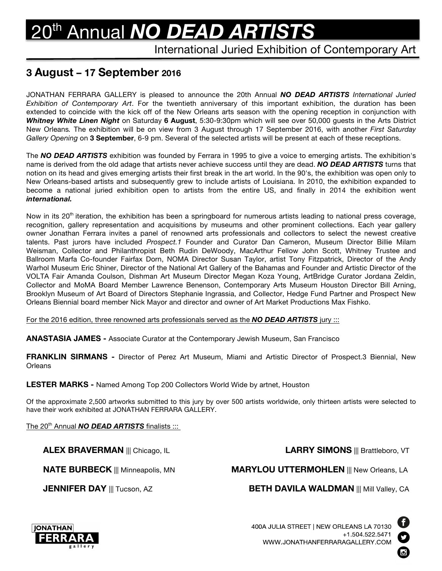# 20th Annual *NO DEAD ARTISTS*

## International Juried Exhibition of Contemporary Art

# **3 August – 17 September 2016**

JONATHAN FERRARA GALLERY is pleased to announce the 20th Annual *NO DEAD ARTISTS International Juried Exhibition of Contemporary Art*. For the twentieth anniversary of this important exhibition, the duration has been extended to coincide with the kick off of the New Orleans arts season with the opening reception in conjunction with *Whitney White Linen Night* on Saturday **6 August**, 5:30-9:30pm which will see over 50,000 guests in the Arts District New Orleans*.* The exhibition will be on view from 3 August through 17 September 2016, with another *First Saturday Gallery Opening* on **3 September**, 6-9 pm. Several of the selected artists will be present at each of these receptions.

The *NO DEAD ARTISTS* exhibition was founded by Ferrara in 1995 to give a voice to emerging artists. The exhibition's name is derived from the old adage that artists never achieve success until they are dead. *NO DEAD ARTISTS* turns that notion on its head and gives emerging artists their first break in the art world. In the 90's, the exhibition was open only to New Orleans-based artists and subsequently grew to include artists of Louisiana. In 2010, the exhibition expanded to become a national juried exhibition open to artists from the entire US, and finally in 2014 the exhibition went *international.*

Now in its  $20<sup>th</sup>$  iteration, the exhibition has been a springboard for numerous artists leading to national press coverage, recognition, gallery representation and acquisitions by museums and other prominent collections. Each year gallery owner Jonathan Ferrara invites a panel of renowned arts professionals and collectors to select the newest creative talents. Past jurors have included *Prospect.1* Founder and Curator Dan Cameron, Museum Director Billie Milam Weisman, Collector and Philanthropist Beth Rudin DeWoody, MacArthur Fellow John Scott, Whitney Trustee and Ballroom Marfa Co-founder Fairfax Dorn, NOMA Director Susan Taylor, artist Tony Fitzpatrick, Director of the Andy Warhol Museum Eric Shiner, Director of the National Art Gallery of the Bahamas and Founder and Artistic Director of the VOLTA Fair Amanda Coulson, Dishman Art Museum Director Megan Koza Young, ArtBridge Curator Jordana Zeldin, Collector and MoMA Board Member Lawrence Benenson, Contemporary Arts Museum Houston Director Bill Arning, Brooklyn Museum of Art Board of Directors Stephanie Ingrassia, and Collector, Hedge Fund Partner and Prospect New Orleans Biennial board member Nick Mayor and director and owner of Art Market Productions Max Fishko.

For the 2016 edition, three renowned arts professionals served as the *NO DEAD ARTISTS* jury :::

**ANASTASIA JAMES -** Associate Curator at the Contemporary Jewish Museum, San Francisco

**FRANKLIN SIRMANS -** Director of Perez Art Museum, Miami and Artistic Director of Prospect.3 Biennial, New **Orleans** 

**LESTER MARKS -** Named Among Top 200 Collectors World Wide by artnet, Houston

Of the approximate 2,500 artworks submitted to this jury by over 500 artists worldwide, only thirteen artists were selected to have their work exhibited at JONATHAN FERRARA GALLERY.

The 20th Annual *NO DEAD ARTISTS* finalists :::

**ALEX BRAVERMAN** ||| Chicago, IL **LARRY SIMONS** ||| Brattleboro, VT

**NATE BURBECK** ||| Minneapolis, MN **MARYLOU UTTERMOHLEN** ||| New Orleans, LA

**JENNIFER DAY** ||| Tucson, AZ **BETH DAVILA WALDMAN** ||| Mill Valley, CA